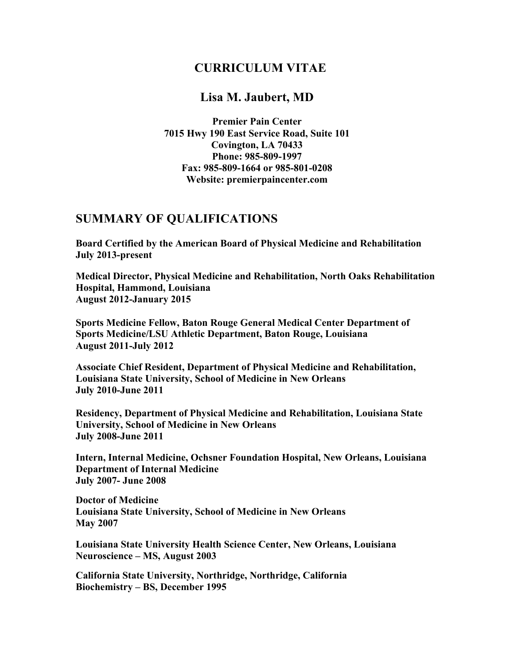## **CURRICULUM VITAE**

### **Lisa M. Jaubert, MD**

**Premier Pain Center 7015 Hwy 190 East Service Road, Suite 101 Covington, LA 70433 Phone: 985-809-1997 Fax: 985-809-1664 or 985-801-0208 Website: premierpaincenter.com**

#### **SUMMARY OF QUALIFICATIONS**

**Board Certified by the American Board of Physical Medicine and Rehabilitation July 2013-present**

**Medical Director, Physical Medicine and Rehabilitation, North Oaks Rehabilitation Hospital, Hammond, Louisiana August 2012-January 2015**

**Sports Medicine Fellow, Baton Rouge General Medical Center Department of Sports Medicine/LSU Athletic Department, Baton Rouge, Louisiana August 2011-July 2012**

**Associate Chief Resident, Department of Physical Medicine and Rehabilitation, Louisiana State University, School of Medicine in New Orleans July 2010-June 2011**

**Residency, Department of Physical Medicine and Rehabilitation, Louisiana State University, School of Medicine in New Orleans July 2008-June 2011**

**Intern, Internal Medicine, Ochsner Foundation Hospital, New Orleans, Louisiana Department of Internal Medicine July 2007- June 2008**

**Doctor of Medicine Louisiana State University, School of Medicine in New Orleans May 2007**

**Louisiana State University Health Science Center, New Orleans, Louisiana Neuroscience – MS, August 2003**

**California State University, Northridge, Northridge, California Biochemistry – BS, December 1995**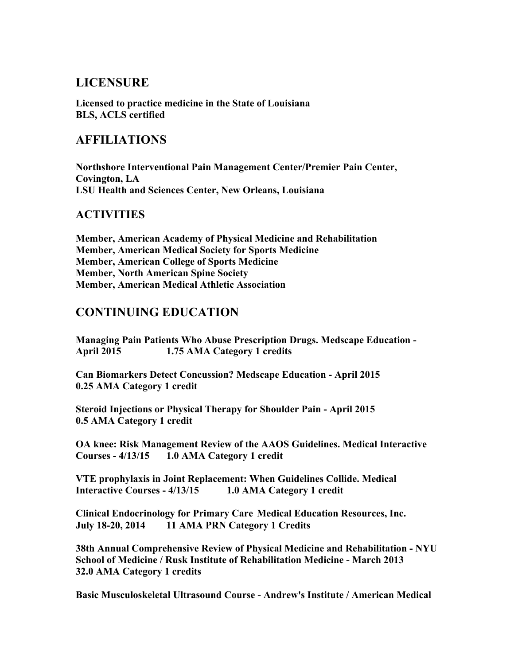# **LICENSURE**

**Licensed to practice medicine in the State of Louisiana BLS, ACLS certified**

# **AFFILIATIONS**

**Northshore Interventional Pain Management Center/Premier Pain Center, Covington, LA LSU Health and Sciences Center, New Orleans, Louisiana**

### **ACTIVITIES**

**Member, American Academy of Physical Medicine and Rehabilitation Member, American Medical Society for Sports Medicine Member, American College of Sports Medicine Member, North American Spine Society Member, American Medical Athletic Association**

# **CONTINUING EDUCATION**

**Managing Pain Patients Who Abuse Prescription Drugs. Medscape Education - April 2015 1.75 AMA Category 1 credits**

**Can Biomarkers Detect Concussion? Medscape Education - April 2015 0.25 AMA Category 1 credit**

**Steroid Injections or Physical Therapy for Shoulder Pain - April 2015 0.5 AMA Category 1 credit**

**OA knee: Risk Management Review of the AAOS Guidelines. Medical Interactive Courses - 4/13/15 1.0 AMA Category 1 credit**

**VTE prophylaxis in Joint Replacement: When Guidelines Collide. Medical Interactive Courses - 4/13/15 1.0 AMA Category 1 credit**

**Clinical Endocrinology for Primary Care Medical Education Resources, Inc. July 18-20, 2014 11 AMA PRN Category 1 Credits**

**38th Annual Comprehensive Review of Physical Medicine and Rehabilitation - NYU School of Medicine / Rusk Institute of Rehabilitation Medicine - March 2013 32.0 AMA Category 1 credits**

**Basic Musculoskeletal Ultrasound Course - Andrew's Institute / American Medical**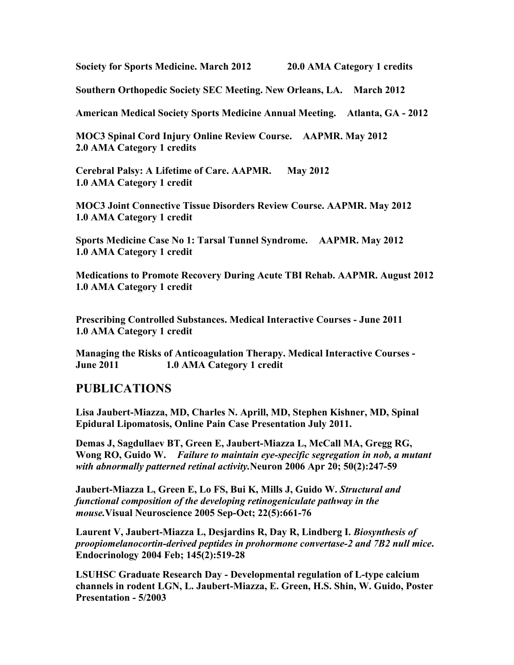**Society for Sports Medicine. March 2012 20.0 AMA Category 1 credits**

**Southern Orthopedic Society SEC Meeting. New Orleans, LA. March 2012**

**American Medical Society Sports Medicine Annual Meeting. Atlanta, GA - 2012**

**MOC3 Spinal Cord Injury Online Review Course. AAPMR. May 2012 2.0 AMA Category 1 credits**

**Cerebral Palsy: A Lifetime of Care. AAPMR. May 2012 1.0 AMA Category 1 credit**

**MOC3 Joint Connective Tissue Disorders Review Course. AAPMR. May 2012 1.0 AMA Category 1 credit**

**Sports Medicine Case No 1: Tarsal Tunnel Syndrome. AAPMR. May 2012 1.0 AMA Category 1 credit**

**Medications to Promote Recovery During Acute TBI Rehab. AAPMR. August 2012 1.0 AMA Category 1 credit**

**Prescribing Controlled Substances. Medical Interactive Courses - June 2011 1.0 AMA Category 1 credit**

**Managing the Risks of Anticoagulation Therapy. Medical Interactive Courses - June 2011 1.0 AMA Category 1 credit**

## **PUBLICATIONS**

**Lisa Jaubert-Miazza, MD, Charles N. Aprill, MD, Stephen Kishner, MD, Spinal Epidural Lipomatosis, Online Pain Case Presentation July 2011.**

**Demas J, Sagdullaev BT, Green E, Jaubert-Miazza L, McCall MA, Gregg RG, Wong RO, Guido W.** *Failure to maintain eye-specific segregation in nob, a mutant with abnormally patterned retinal activity.***Neuron 2006 Apr 20; 50(2):247-59**

**Jaubert-Miazza L, Green E, Lo FS, Bui K, Mills J, Guido W.** *Structural and functional composition of the developing retinogeniculate pathway in the mouse.***Visual Neuroscience 2005 Sep-Oct; 22(5):661-76**

**Laurent V, Jaubert-Miazza L, Desjardins R, Day R, Lindberg I.** *Biosynthesis of proopiomelanocortin-derived peptides in prohormone convertase-2 and 7B2 null mice***. Endocrinology 2004 Feb; 145(2):519-28**

**LSUHSC Graduate Research Day - Developmental regulation of L-type calcium channels in rodent LGN, L. Jaubert-Miazza, E. Green, H.S. Shin, W. Guido, Poster Presentation - 5/2003**